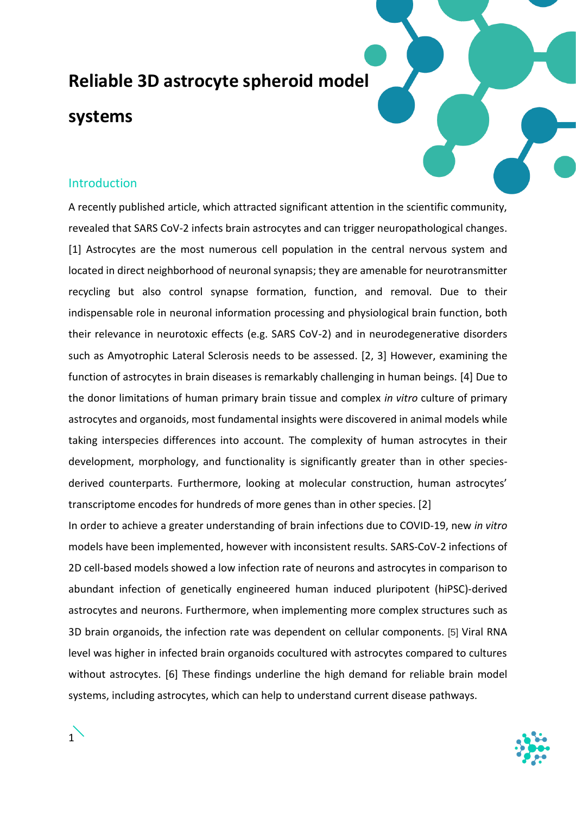# **Reliable 3D astrocyte spheroid model**

## **systems**

## Introduction

A recently published article, which attracted significant attention in the scientific community, revealed that SARS CoV-2 infects brain astrocytes and can trigger neuropathological changes. [1] Astrocytes are the most numerous cell population in the central nervous system and located in direct neighborhood of neuronal synapsis; they are amenable for neurotransmitter recycling but also control synapse formation, function, and removal. Due to their indispensable role in neuronal information processing and physiological brain function, both their relevance in neurotoxic effects (e.g. SARS CoV-2) and in neurodegenerative disorders such as Amyotrophic Lateral Sclerosis needs to be assessed. [2, 3] However, examining the function of astrocytes in brain diseases is remarkably challenging in human beings. [4] Due to the donor limitations of human primary brain tissue and complex *in vitro* culture of primary astrocytes and organoids, most fundamental insights were discovered in animal models while taking interspecies differences into account. The complexity of human astrocytes in their development, morphology, and functionality is significantly greater than in other speciesderived counterparts. Furthermore, looking at molecular construction, human astrocytes' transcriptome encodes for hundreds of more genes than in other species. [2]

In order to achieve a greater understanding of brain infections due to COVID-19, new *in vitro* models have been implemented, however with inconsistent results. SARS-CoV-2 infections of 2D cell-based models showed a low infection rate of neurons and astrocytes in comparison to abundant infection of genetically engineered human induced pluripotent (hiPSC)-derived astrocytes and neurons. Furthermore, when implementing more complex structures such as 3D brain organoids, the infection rate was dependent on cellular components. [5] Viral RNA level was higher in infected brain organoids cocultured with astrocytes compared to cultures without astrocytes. [6] These findings underline the high demand for reliable brain model systems, including astrocytes, which can help to understand current disease pathways.

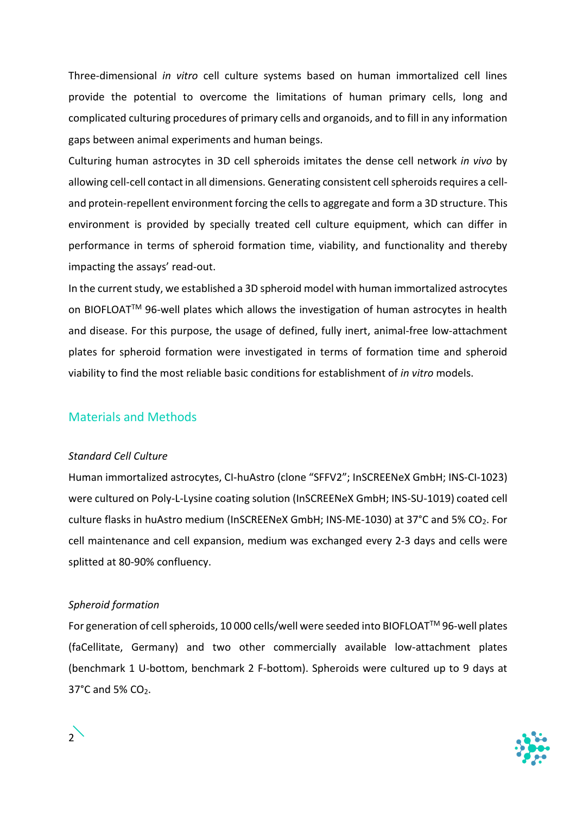Three-dimensional *in vitro* cell culture systems based on human immortalized cell lines provide the potential to overcome the limitations of human primary cells, long and complicated culturing procedures of primary cells and organoids, and to fill in any information gaps between animal experiments and human beings.

Culturing human astrocytes in 3D cell spheroids imitates the dense cell network *in vivo* by allowing cell-cell contact in all dimensions. Generating consistent cell spheroids requires a celland protein-repellent environment forcing the cells to aggregate and form a 3D structure. This environment is provided by specially treated cell culture equipment, which can differ in performance in terms of spheroid formation time, viability, and functionality and thereby impacting the assays' read-out.

In the current study, we established a 3D spheroid model with human immortalized astrocytes on BIOFLOAT™ 96-well plates which allows the investigation of human astrocytes in health and disease. For this purpose, the usage of defined, fully inert, animal-free low-attachment plates for spheroid formation were investigated in terms of formation time and spheroid viability to find the most reliable basic conditions for establishment of *in vitro* models.

## Materials and Methods

#### *Standard Cell Culture*

Human immortalized astrocytes, CI-huAstro (clone "SFFV2"; InSCREENeX GmbH; INS-CI-1023) were cultured on Poly-L-Lysine coating solution (InSCREENeX GmbH; INS-SU-1019) coated cell culture flasks in huAstro medium (InSCREENeX GmbH; INS-ME-1030) at 37°C and 5% CO<sub>2</sub>. For cell maintenance and cell expansion, medium was exchanged every 2-3 days and cells were splitted at 80-90% confluency.

#### *Spheroid formation*

For generation of cell spheroids, 10 000 cells/well were seeded into BIOFLOAT™ 96-well plates (faCellitate, Germany) and two other commercially available low-attachment plates (benchmark 1 U-bottom, benchmark 2 F-bottom). Spheroids were cultured up to 9 days at  $37^{\circ}$ C and 5% CO<sub>2</sub>.



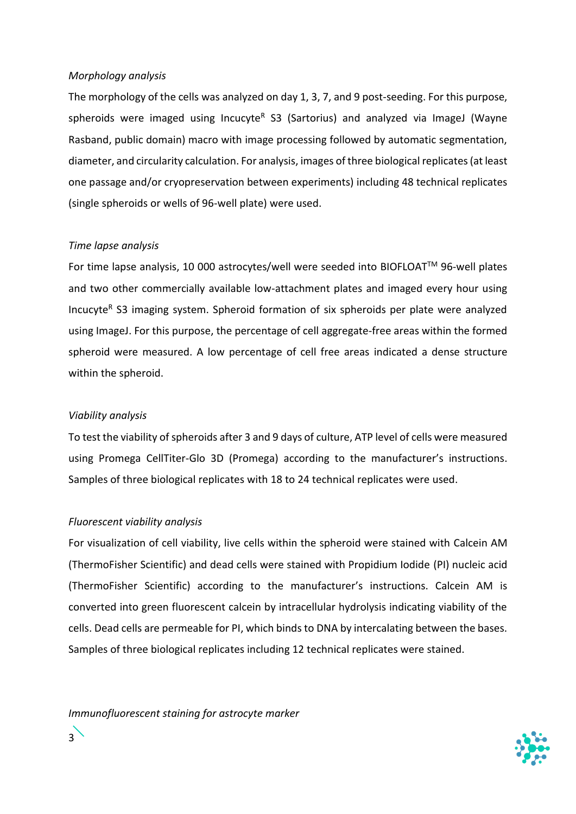#### *Morphology analysis*

The morphology of the cells was analyzed on day 1, 3, 7, and 9 post-seeding. For this purpose, spheroids were imaged using Incucyte<sup>R</sup> S3 (Sartorius) and analyzed via ImageJ (Wayne Rasband, public domain) macro with image processing followed by automatic segmentation, diameter, and circularity calculation. For analysis, images of three biological replicates (at least one passage and/or cryopreservation between experiments) including 48 technical replicates (single spheroids or wells of 96-well plate) were used.

#### *Time lapse analysis*

For time lapse analysis, 10 000 astrocytes/well were seeded into BIOFLOAT™ 96-well plates and two other commercially available low-attachment plates and imaged every hour using Incucyte<sup>R</sup> S3 imaging system. Spheroid formation of six spheroids per plate were analyzed using ImageJ. For this purpose, the percentage of cell aggregate-free areas within the formed spheroid were measured. A low percentage of cell free areas indicated a dense structure within the spheroid.

#### *Viability analysis*

To test the viability of spheroids after 3 and 9 days of culture, ATP level of cells were measured using Promega CellTiter-Glo 3D (Promega) according to the manufacturer's instructions. Samples of three biological replicates with 18 to 24 technical replicates were used.

#### *Fluorescent viability analysis*

For visualization of cell viability, live cells within the spheroid were stained with Calcein AM (ThermoFisher Scientific) and dead cells were stained with Propidium Iodide (PI) nucleic acid (ThermoFisher Scientific) according to the manufacturer's instructions. Calcein AM is converted into green fluorescent calcein by intracellular hydrolysis indicating viability of the cells. Dead cells are permeable for PI, which binds to DNA by intercalating between the bases. Samples of three biological replicates including 12 technical replicates were stained.

*Immunofluorescent staining for astrocyte marker*

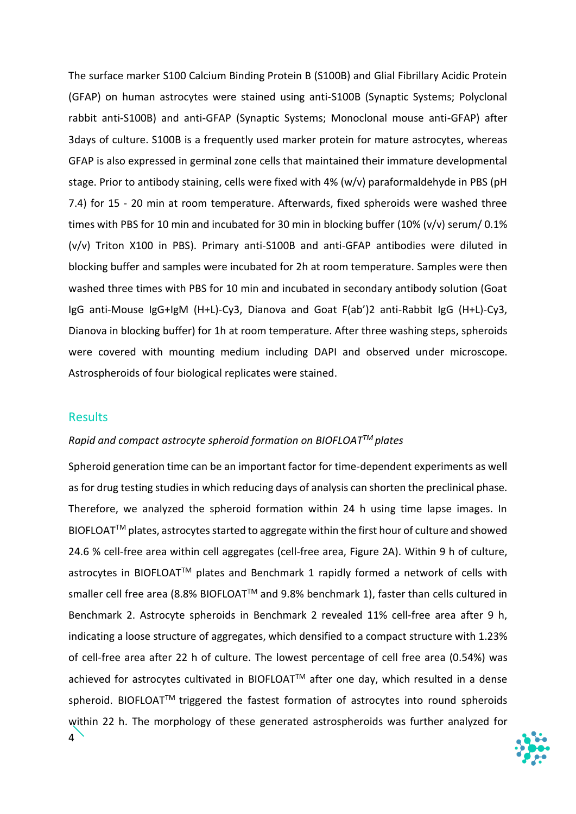The surface marker S100 Calcium Binding Protein B (S100B) and Glial Fibrillary Acidic Protein (GFAP) on human astrocytes were stained using anti-S100B (Synaptic Systems; Polyclonal rabbit anti-S100B) and anti-GFAP (Synaptic Systems; Monoclonal mouse anti-GFAP) after 3days of culture. S100B is a frequently used marker protein for mature astrocytes, whereas GFAP is also expressed in germinal zone cells that maintained their immature developmental stage. Prior to antibody staining, cells were fixed with 4% (w/v) paraformaldehyde in PBS (pH 7.4) for 15 - 20 min at room temperature. Afterwards, fixed spheroids were washed three times with PBS for 10 min and incubated for 30 min in blocking buffer (10% (v/v) serum/ 0.1% (v/v) Triton X100 in PBS). Primary anti-S100B and anti-GFAP antibodies were diluted in blocking buffer and samples were incubated for 2h at room temperature. Samples were then washed three times with PBS for 10 min and incubated in secondary antibody solution (Goat IgG anti-Mouse IgG+IgM (H+L)-Cy3, Dianova and Goat F(ab')2 anti-Rabbit IgG (H+L)-Cy3, Dianova in blocking buffer) for 1h at room temperature. After three washing steps, spheroids were covered with mounting medium including DAPI and observed under microscope. Astrospheroids of four biological replicates were stained.

#### **Results**

#### *Rapid and compact astrocyte spheroid formation on BIOFLOATTM plates*

4 Spheroid generation time can be an important factor for time-dependent experiments as well as for drug testing studies in which reducing days of analysis can shorten the preclinical phase. Therefore, we analyzed the spheroid formation within 24 h using time lapse images. In BIOFLOAT™ plates, astrocytes started to aggregate within the first hour of culture and showed 24.6 % cell-free area within cell aggregates (cell-free area, Figure 2A). Within 9 h of culture, astrocytes in BIOFLOAT™ plates and Benchmark 1 rapidly formed a network of cells with smaller cell free area (8.8% BIOFLOAT<sup>™</sup> and 9.8% benchmark 1), faster than cells cultured in Benchmark 2. Astrocyte spheroids in Benchmark 2 revealed 11% cell-free area after 9 h, indicating a loose structure of aggregates, which densified to a compact structure with 1.23% of cell-free area after 22 h of culture. The lowest percentage of cell free area (0.54%) was achieved for astrocytes cultivated in BIOFLOAT™ after one day, which resulted in a dense spheroid. BIOFLOAT™ triggered the fastest formation of astrocytes into round spheroids within 22 h. The morphology of these generated astrospheroids was further analyzed for

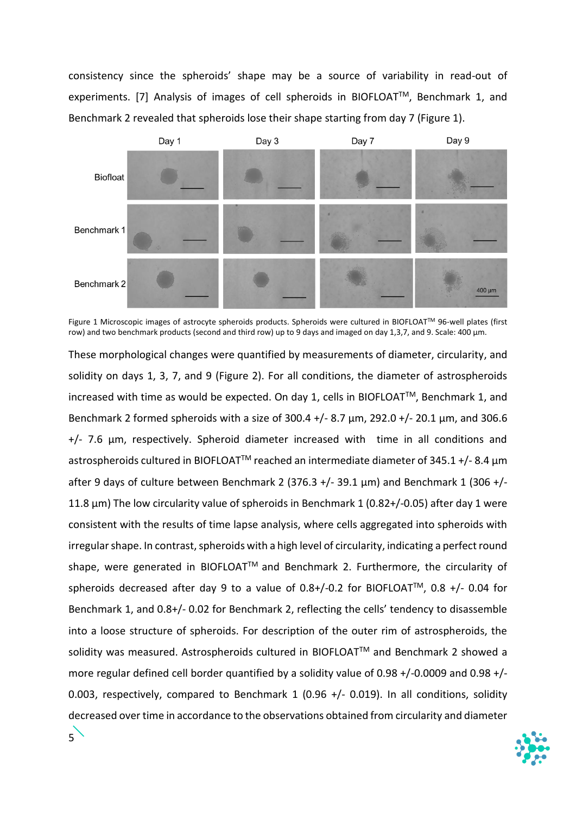consistency since the spheroids' shape may be a source of variability in read-out of experiments. [7] Analysis of images of cell spheroids in BIOFLOAT™, Benchmark 1, and Benchmark 2 revealed that spheroids lose their shape starting from day 7 (Figure 1).



Figure 1 Microscopic images of astrocyte spheroids products. Spheroids were cultured in BIOFLOAT™ 96-well plates (first row) and two benchmark products (second and third row) up to 9 days and imaged on day 1,3,7, and 9. Scale: 400 µm.

These morphological changes were quantified by measurements of diameter, circularity, and solidity on days 1, 3, 7, and 9 (Figure 2). For all conditions, the diameter of astrospheroids increased with time as would be expected. On day 1, cells in BIOFLOAT<sup>TM</sup>, Benchmark 1, and Benchmark 2 formed spheroids with a size of 300.4 +/- 8.7 µm, 292.0 +/- 20.1 µm, and 306.6 +/- 7.6 µm, respectively. Spheroid diameter increased with time in all conditions and astrospheroids cultured in BIOFLOAT<sup>TM</sup> reached an intermediate diameter of 345.1 +/- 8.4  $\mu$ m after 9 days of culture between Benchmark 2 (376.3 +/- 39.1  $\mu$ m) and Benchmark 1 (306 +/-11.8 µm) The low circularity value of spheroids in Benchmark 1 (0.82+/-0.05) after day 1 were consistent with the results of time lapse analysis, where cells aggregated into spheroids with irregular shape. In contrast, spheroids with a high level of circularity, indicating a perfect round shape, were generated in BIOFLOAT™ and Benchmark 2. Furthermore, the circularity of spheroids decreased after day 9 to a value of  $0.8+/0.2$  for BIOFLOAT<sup>TM</sup>,  $0.8 +/-0.04$  for Benchmark 1, and 0.8+/- 0.02 for Benchmark 2, reflecting the cells' tendency to disassemble into a loose structure of spheroids. For description of the outer rim of astrospheroids, the solidity was measured. Astrospheroids cultured in BIOFLOAT™ and Benchmark 2 showed a more regular defined cell border quantified by a solidity value of 0.98 +/-0.0009 and 0.98 +/- 0.003, respectively, compared to Benchmark 1 (0.96 +/- 0.019). In all conditions, solidity decreased over time in accordance to the observations obtained from circularity and diameter

5

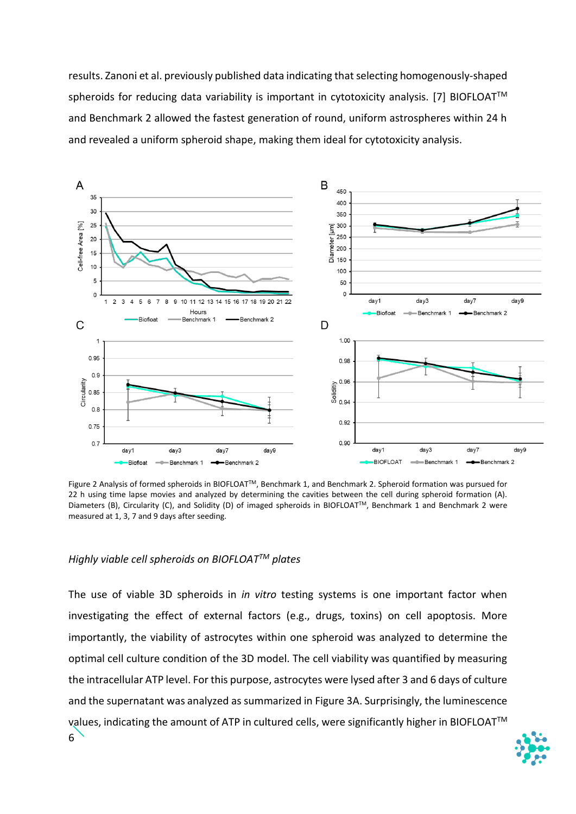results. Zanoni et al. previously published data indicating that selecting homogenously-shaped spheroids for reducing data variability is important in cytotoxicity analysis. [7] BIOFLOAT™ and Benchmark 2 allowed the fastest generation of round, uniform astrospheres within 24 h and revealed a uniform spheroid shape, making them ideal for cytotoxicity analysis.



Figure 2 Analysis of formed spheroids in BIOFLOATTM, Benchmark 1, and Benchmark 2. Spheroid formation was pursued for 22 h using time lapse movies and analyzed by determining the cavities between the cell during spheroid formation (A). Diameters (B), Circularity (C), and Solidity (D) of imaged spheroids in BIOFLOAT™, Benchmark 1 and Benchmark 2 were measured at 1, 3, 7 and 9 days after seeding.

#### *Highly viable cell spheroids on BIOFLOATTM plates*

6 The use of viable 3D spheroids in *in vitro* testing systems is one important factor when investigating the effect of external factors (e.g., drugs, toxins) on cell apoptosis. More importantly, the viability of astrocytes within one spheroid was analyzed to determine the optimal cell culture condition of the 3D model. The cell viability was quantified by measuring the intracellular ATP level. For this purpose, astrocytes were lysed after 3 and 6 days of culture and the supernatant was analyzed as summarized in Figure 3A. Surprisingly, the luminescence values, indicating the amount of ATP in cultured cells, were significantly higher in BIOFLOAT<sup>™</sup>

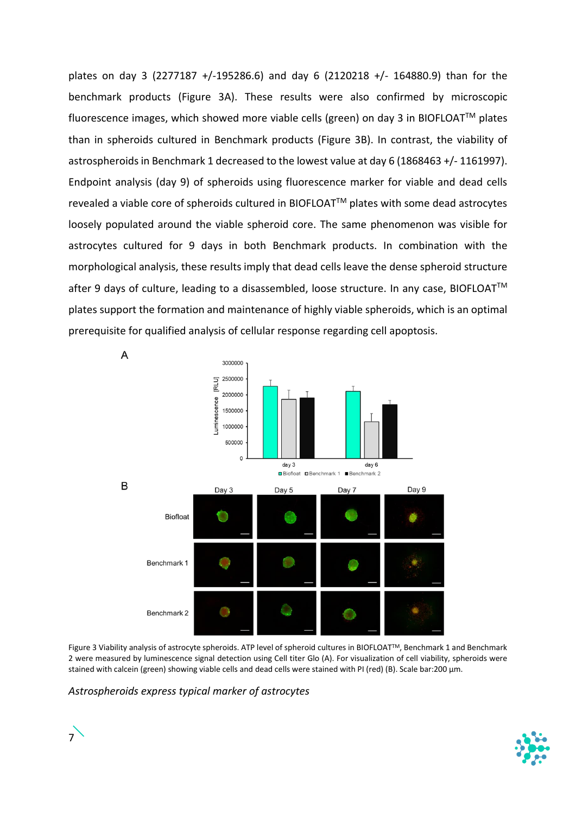plates on day 3 (2277187 +/-195286.6) and day 6 (2120218 +/- 164880.9) than for the benchmark products (Figure 3A). These results were also confirmed by microscopic fluorescence images, which showed more viable cells (green) on day 3 in BIOFLOAT™ plates than in spheroids cultured in Benchmark products (Figure 3B). In contrast, the viability of astrospheroids in Benchmark 1 decreased to the lowest value at day 6 (1868463 +/- 1161997). Endpoint analysis (day 9) of spheroids using fluorescence marker for viable and dead cells revealed a viable core of spheroids cultured in BIOFLOATTM plates with some dead astrocytes loosely populated around the viable spheroid core. The same phenomenon was visible for astrocytes cultured for 9 days in both Benchmark products. In combination with the morphological analysis, these results imply that dead cells leave the dense spheroid structure after 9 days of culture, leading to a disassembled, loose structure. In any case, BIOFLOAT™ plates support the formation and maintenance of highly viable spheroids, which is an optimal prerequisite for qualified analysis of cellular response regarding cell apoptosis.



Figure 3 Viability analysis of astrocyte spheroids. ATP level of spheroid cultures in BIOFLOATTM, Benchmark 1 and Benchmark 2 were measured by luminescence signal detection using Cell titer Glo (A). For visualization of cell viability, spheroids were stained with calcein (green) showing viable cells and dead cells were stained with PI (red) (B). Scale bar:200 µm.

*Astrospheroids express typical marker of astrocytes*



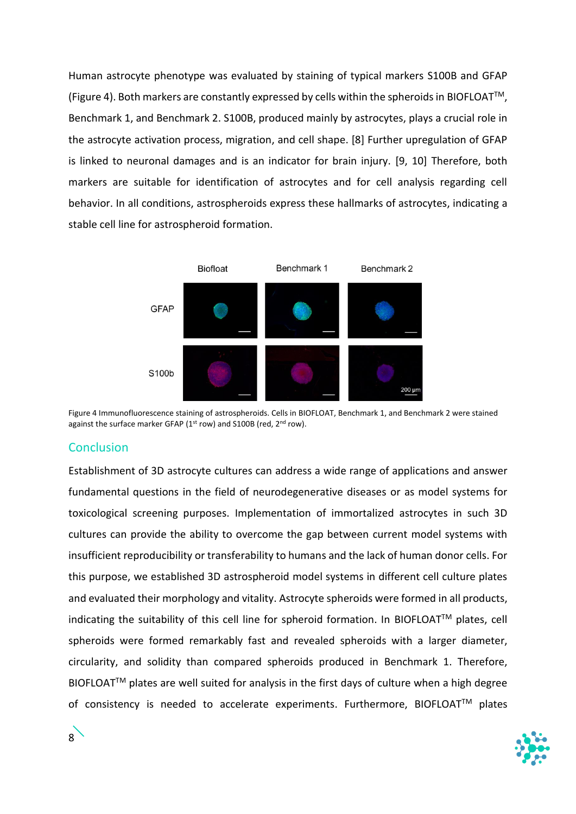Human astrocyte phenotype was evaluated by staining of typical markers S100B and GFAP (Figure 4). Both markers are constantly expressed by cells within the spheroids in BIOFLOATTM, Benchmark 1, and Benchmark 2. S100B, produced mainly by astrocytes, plays a crucial role in the astrocyte activation process, migration, and cell shape. [8] Further upregulation of GFAP is linked to neuronal damages and is an indicator for brain injury. [9, 10] Therefore, both markers are suitable for identification of astrocytes and for cell analysis regarding cell behavior. In all conditions, astrospheroids express these hallmarks of astrocytes, indicating a stable cell line for astrospheroid formation.



Figure 4 Immunofluorescence staining of astrospheroids. Cells in BIOFLOAT, Benchmark 1, and Benchmark 2 were stained against the surface marker GFAP (1st row) and S100B (red, 2nd row).

## **Conclusion**

Establishment of 3D astrocyte cultures can address a wide range of applications and answer fundamental questions in the field of neurodegenerative diseases or as model systems for toxicological screening purposes. Implementation of immortalized astrocytes in such 3D cultures can provide the ability to overcome the gap between current model systems with insufficient reproducibility or transferability to humans and the lack of human donor cells. For this purpose, we established 3D astrospheroid model systems in different cell culture plates and evaluated their morphology and vitality. Astrocyte spheroids were formed in all products, indicating the suitability of this cell line for spheroid formation. In BIOFLOAT™ plates, cell spheroids were formed remarkably fast and revealed spheroids with a larger diameter, circularity, and solidity than compared spheroids produced in Benchmark 1. Therefore, BIOFLOAT™ plates are well suited for analysis in the first days of culture when a high degree of consistency is needed to accelerate experiments. Furthermore, BIOFLOAT™ plates